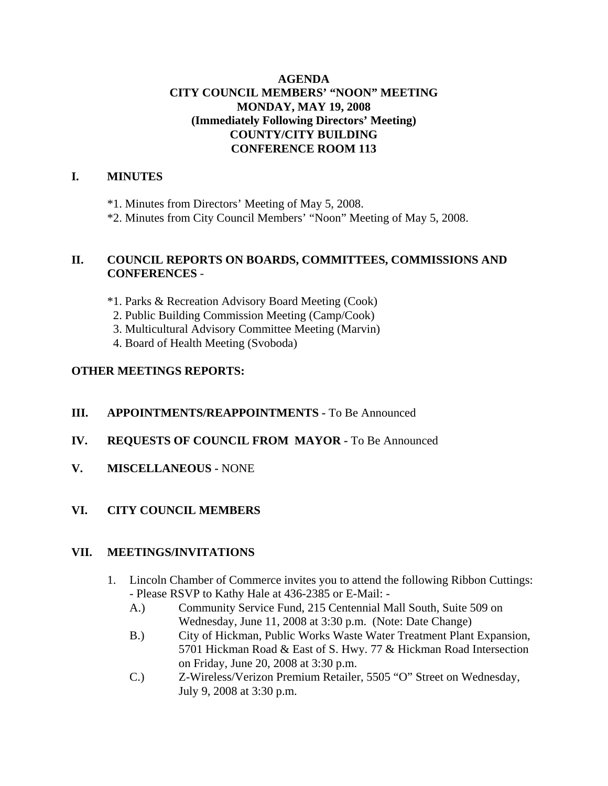## **AGENDA CITY COUNCIL MEMBERS' "NOON" MEETING MONDAY, MAY 19, 2008 (Immediately Following Directors' Meeting) COUNTY/CITY BUILDING CONFERENCE ROOM 113**

## **I. MINUTES**

\*1. Minutes from Directors' Meeting of May 5, 2008.

\*2. Minutes from City Council Members' "Noon" Meeting of May 5, 2008.

#### **II. COUNCIL REPORTS ON BOARDS, COMMITTEES, COMMISSIONS AND CONFERENCES** -

\*1. Parks & Recreation Advisory Board Meeting (Cook)

2. Public Building Commission Meeting (Camp/Cook)

3. Multicultural Advisory Committee Meeting (Marvin)

4. Board of Health Meeting (Svoboda)

## **OTHER MEETINGS REPORTS:**

- **III.** APPOINTMENTS/REAPPOINTMENTS To Be Announced
- **IV. REQUESTS OF COUNCIL FROM MAYOR -** To Be Announced
- **V. MISCELLANEOUS -** NONE

## **VI. CITY COUNCIL MEMBERS**

## **VII. MEETINGS/INVITATIONS**

- 1. Lincoln Chamber of Commerce invites you to attend the following Ribbon Cuttings: - Please RSVP to Kathy Hale at 436-2385 or E-Mail: -
	- A.) Community Service Fund, 215 Centennial Mall South, Suite 509 on Wednesday, June 11, 2008 at 3:30 p.m. (Note: Date Change)
	- B.) City of Hickman, Public Works Waste Water Treatment Plant Expansion, 5701 Hickman Road & East of S. Hwy. 77 & Hickman Road Intersection on Friday, June 20, 2008 at 3:30 p.m.
	- C.) Z-Wireless/Verizon Premium Retailer, 5505 "O" Street on Wednesday, July 9, 2008 at 3:30 p.m.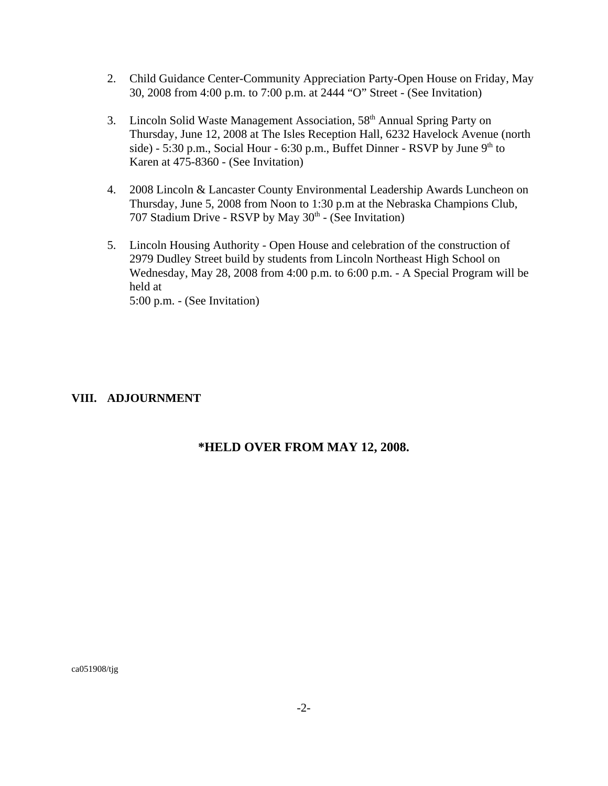- 2. Child Guidance Center-Community Appreciation Party-Open House on Friday, May 30, 2008 from 4:00 p.m. to 7:00 p.m. at 2444 "O" Street - (See Invitation)
- 3. Lincoln Solid Waste Management Association, 58<sup>th</sup> Annual Spring Party on Thursday, June 12, 2008 at The Isles Reception Hall, 6232 Havelock Avenue (north side) - 5:30 p.m., Social Hour - 6:30 p.m., Buffet Dinner - RSVP by June  $9<sup>th</sup>$  to Karen at 475-8360 - (See Invitation)
- 4. 2008 Lincoln & Lancaster County Environmental Leadership Awards Luncheon on Thursday, June 5, 2008 from Noon to 1:30 p.m at the Nebraska Champions Club, 707 Stadium Drive - RSVP by May  $30<sup>th</sup>$  - (See Invitation)
- 5. Lincoln Housing Authority Open House and celebration of the construction of 2979 Dudley Street build by students from Lincoln Northeast High School on Wednesday, May 28, 2008 from 4:00 p.m. to 6:00 p.m. - A Special Program will be held at 5:00 p.m. - (See Invitation)

#### **VIII. ADJOURNMENT**

#### **\*HELD OVER FROM MAY 12, 2008.**

ca051908/tjg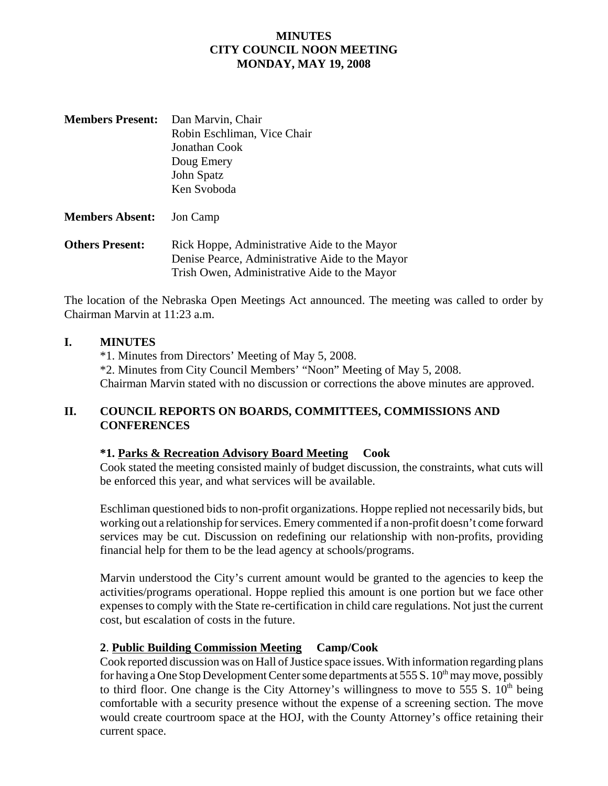#### **MINUTES CITY COUNCIL NOON MEETING MONDAY, MAY 19, 2008**

| <b>Members Present:</b> Dan Marvin, Chair |
|-------------------------------------------|
| Robin Eschliman, Vice Chair               |
| Jonathan Cook                             |
| Doug Emery                                |
| John Spatz                                |
| Ken Svoboda                               |
|                                           |

**Members Absent:** Jon Camp

**Others Present:** Rick Hoppe, Administrative Aide to the Mayor Denise Pearce, Administrative Aide to the Mayor Trish Owen, Administrative Aide to the Mayor

The location of the Nebraska Open Meetings Act announced. The meeting was called to order by Chairman Marvin at 11:23 a.m.

## **I. MINUTES**

\*1. Minutes from Directors' Meeting of May 5, 2008. \*2. Minutes from City Council Members' "Noon" Meeting of May 5, 2008. Chairman Marvin stated with no discussion or corrections the above minutes are approved.

# **II. COUNCIL REPORTS ON BOARDS, COMMITTEES, COMMISSIONS AND CONFERENCES**

## **\*1. Parks & Recreation Advisory Board Meeting Cook**

Cook stated the meeting consisted mainly of budget discussion, the constraints, what cuts will be enforced this year, and what services will be available.

Eschliman questioned bids to non-profit organizations. Hoppe replied not necessarily bids, but working out a relationship for services. Emery commented if a non-profit doesn't come forward services may be cut. Discussion on redefining our relationship with non-profits, providing financial help for them to be the lead agency at schools/programs.

Marvin understood the City's current amount would be granted to the agencies to keep the activities/programs operational. Hoppe replied this amount is one portion but we face other expenses to comply with the State re-certification in child care regulations. Not just the current cost, but escalation of costs in the future.

## **2**. **Public Building Commission Meeting Camp/Cook**

Cook reported discussion was on Hall of Justice space issues. With information regarding plans for having a One Stop Development Center some departments at 555 S.  $10^{th}$  may move, possibly to third floor. One change is the City Attorney's willingness to move to 555 S.  $10<sup>th</sup>$  being comfortable with a security presence without the expense of a screening section. The move would create courtroom space at the HOJ, with the County Attorney's office retaining their current space.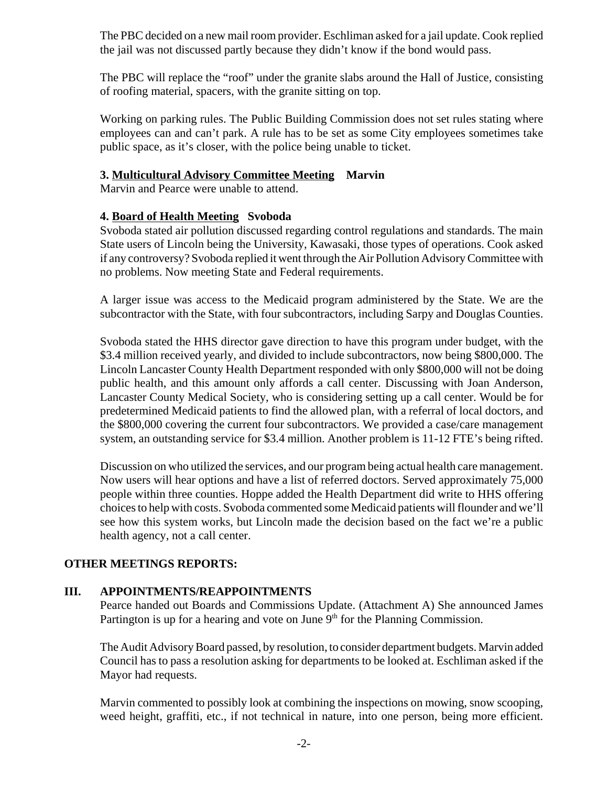The PBC decided on a new mail room provider. Eschliman asked for a jail update. Cook replied the jail was not discussed partly because they didn't know if the bond would pass.

The PBC will replace the "roof" under the granite slabs around the Hall of Justice, consisting of roofing material, spacers, with the granite sitting on top.

Working on parking rules. The Public Building Commission does not set rules stating where employees can and can't park. A rule has to be set as some City employees sometimes take public space, as it's closer, with the police being unable to ticket.

#### **3. Multicultural Advisory Committee Meeting Marvin**

Marvin and Pearce were unable to attend.

#### **4. Board of Health Meeting Svoboda**

Svoboda stated air pollution discussed regarding control regulations and standards. The main State users of Lincoln being the University, Kawasaki, those types of operations. Cook asked if any controversy? Svoboda replied it went through the Air Pollution Advisory Committee with no problems. Now meeting State and Federal requirements.

A larger issue was access to the Medicaid program administered by the State. We are the subcontractor with the State, with four subcontractors, including Sarpy and Douglas Counties.

Svoboda stated the HHS director gave direction to have this program under budget, with the \$3.4 million received yearly, and divided to include subcontractors, now being \$800,000. The Lincoln Lancaster County Health Department responded with only \$800,000 will not be doing public health, and this amount only affords a call center. Discussing with Joan Anderson, Lancaster County Medical Society, who is considering setting up a call center. Would be for predetermined Medicaid patients to find the allowed plan, with a referral of local doctors, and the \$800,000 covering the current four subcontractors. We provided a case/care management system, an outstanding service for \$3.4 million. Another problem is 11-12 FTE's being rifted.

Discussion on who utilized the services, and our program being actual health care management. Now users will hear options and have a list of referred doctors. Served approximately 75,000 people within three counties. Hoppe added the Health Department did write to HHS offering choices to help with costs. Svoboda commented some Medicaid patients will flounder and we'll see how this system works, but Lincoln made the decision based on the fact we're a public health agency, not a call center.

## **OTHER MEETINGS REPORTS:**

#### **III. APPOINTMENTS/REAPPOINTMENTS**

Pearce handed out Boards and Commissions Update. (Attachment A) She announced James Partington is up for a hearing and vote on June  $9<sup>th</sup>$  for the Planning Commission.

The Audit Advisory Board passed, by resolution, to consider department budgets. Marvin added Council has to pass a resolution asking for departments to be looked at. Eschliman asked if the Mayor had requests.

Marvin commented to possibly look at combining the inspections on mowing, snow scooping, weed height, graffiti, etc., if not technical in nature, into one person, being more efficient.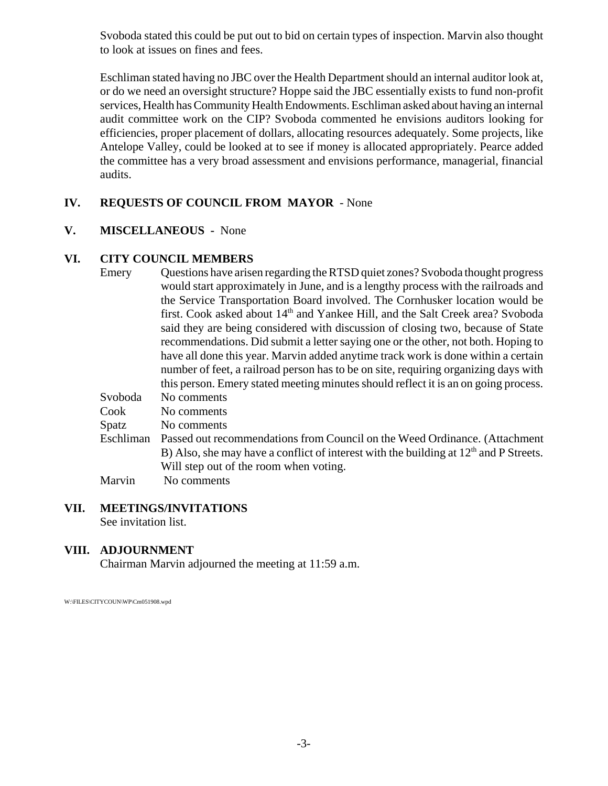Svoboda stated this could be put out to bid on certain types of inspection. Marvin also thought to look at issues on fines and fees.

Eschliman stated having no JBC over the Health Department should an internal auditor look at, or do we need an oversight structure? Hoppe said the JBC essentially exists to fund non-profit services, Health has Community Health Endowments. Eschliman asked about having an internal audit committee work on the CIP? Svoboda commented he envisions auditors looking for efficiencies, proper placement of dollars, allocating resources adequately. Some projects, like Antelope Valley, could be looked at to see if money is allocated appropriately. Pearce added the committee has a very broad assessment and envisions performance, managerial, financial audits.

## **IV. REQUESTS OF COUNCIL FROM MAYOR** - None

# **V. MISCELLANEOUS -** None

# **VI. CITY COUNCIL MEMBERS**

| Emery   | Questions have arisen regarding the RTSD quiet zones? Svoboda thought progress      |
|---------|-------------------------------------------------------------------------------------|
|         | would start approximately in June, and is a lengthy process with the railroads and  |
|         | the Service Transportation Board involved. The Cornhusker location would be         |
|         | first. Cook asked about $14th$ and Yankee Hill, and the Salt Creek area? Svoboda    |
|         | said they are being considered with discussion of closing two, because of State     |
|         | recommendations. Did submit a letter saying one or the other, not both. Hoping to   |
|         | have all done this year. Marvin added anytime track work is done within a certain   |
|         | number of feet, a railroad person has to be on site, requiring organizing days with |
|         | this person. Emery stated meeting minutes should reflect it is an on going process. |
| Svoboda | No comments                                                                         |
|         |                                                                                     |

| Cook  | No comments                                                                             |
|-------|-----------------------------------------------------------------------------------------|
| Spatz | No comments                                                                             |
|       | Eschliman Passed out recommendations from Council on the Weed Ordinance. (Attachment    |
|       | B) Also, she may have a conflict of interest with the building at $12th$ and P Streets. |
|       | Will step out of the room when voting.                                                  |
|       |                                                                                         |

Marvin No comments

# **VII. MEETINGS/INVITATIONS**

See invitation list.

## **VIII. ADJOURNMENT**

Chairman Marvin adjourned the meeting at 11:59 a.m.

W:\FILES\CITYCOUN\WP\Cm051908.wpd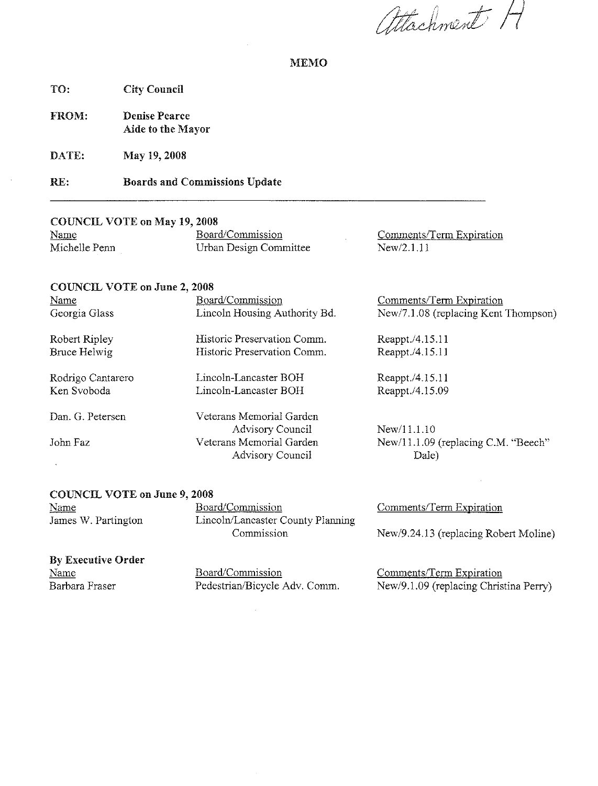attachment H

#### **MEMO**

**City Council** TO:

FROM: **Denise Pearce** Aide to the Mayor

DATE: May 19, 2008

**Boards and Commissions Update** RE:

#### **COUNCIL VOTE on May 19, 2008**

| Name<br>______ | Board/Commission       | Comments/Term Expiration |
|----------------|------------------------|--------------------------|
| Michelle Penn  | Urban Design Committee | New/2.1.11               |

#### **COUNCIL VOTE on June 2, 2008**

| Name              | Board/Commission              | Comments/Term Expiration             |
|-------------------|-------------------------------|--------------------------------------|
| Georgia Glass     | Lincoln Housing Authority Bd. | New/7.1.08 (replacing Kent Thompson) |
| Robert Ripley     | Historic Preservation Comm.   | Reappt./4.15.11                      |
| Bruce Helwig      | Historic Preservation Comm.   | Reappt./4.15.11                      |
| Rodrigo Cantarero | Lincoln-Lancaster BOH         | Reappt./4.15.11                      |
| Ken Svoboda       | Lincoln-Lancaster BOH         | Reappt./4.15.09                      |
| Dan. G. Petersen  | Veterans Memorial Garden      |                                      |
|                   | <b>Advisory Council</b>       | New/11.1.10                          |
| John Faz          | Veterans Memorial Garden      | New/11.1.09 (replacing C.M. "Beech"  |
|                   | Advisory Council              | Dale)                                |

#### **COUNCIL VOTE on June 9, 2008**

Name James W. Partington Board/Commission Lincoln/Lancaster County Planning Commission

# **By Executive Order**

Name Barbara Fraser Board/Commission Pedestrian/Bicycle Adv. Comm. Comments/Term Expiration

New/9.24.13 (replacing Robert Moline)

Comments/Term Expiration New/9.1.09 (replacing Christina Perry)